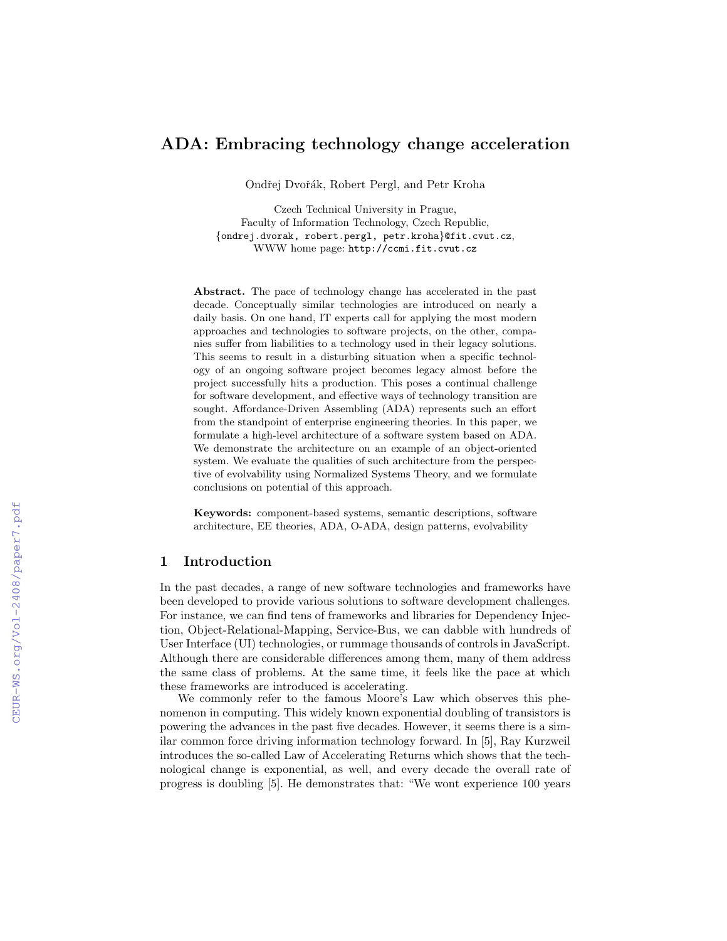# ADA: Embracing technology change acceleration

Ondřej Dvořák, Robert Pergl, and Petr Kroha

Czech Technical University in Prague, Faculty of Information Technology, Czech Republic, {ondrej.dvorak, robert.pergl, petr.kroha}@fit.cvut.cz, WWW home page: http://ccmi.fit.cvut.cz

Abstract. The pace of technology change has accelerated in the past decade. Conceptually similar technologies are introduced on nearly a daily basis. On one hand, IT experts call for applying the most modern approaches and technologies to software projects, on the other, companies suffer from liabilities to a technology used in their legacy solutions. This seems to result in a disturbing situation when a specific technology of an ongoing software project becomes legacy almost before the project successfully hits a production. This poses a continual challenge for software development, and effective ways of technology transition are sought. Affordance-Driven Assembling (ADA) represents such an effort from the standpoint of enterprise engineering theories. In this paper, we formulate a high-level architecture of a software system based on ADA. We demonstrate the architecture on an example of an object-oriented system. We evaluate the qualities of such architecture from the perspective of evolvability using Normalized Systems Theory, and we formulate conclusions on potential of this approach.

Keywords: component-based systems, semantic descriptions, software architecture, EE theories, ADA, O-ADA, design patterns, evolvability

### 1 Introduction

In the past decades, a range of new software technologies and frameworks have been developed to provide various solutions to software development challenges. For instance, we can find tens of frameworks and libraries for Dependency Injection, Object-Relational-Mapping, Service-Bus, we can dabble with hundreds of User Interface (UI) technologies, or rummage thousands of controls in JavaScript. Although there are considerable differences among them, many of them address the same class of problems. At the same time, it feels like the pace at which these frameworks are introduced is accelerating.

We commonly refer to the famous Moore's Law which observes this phenomenon in computing. This widely known exponential doubling of transistors is powering the advances in the past five decades. However, it seems there is a similar common force driving information technology forward. In [5], Ray Kurzweil introduces the so-called Law of Accelerating Returns which shows that the technological change is exponential, as well, and every decade the overall rate of progress is doubling [5]. He demonstrates that: "We wont experience 100 years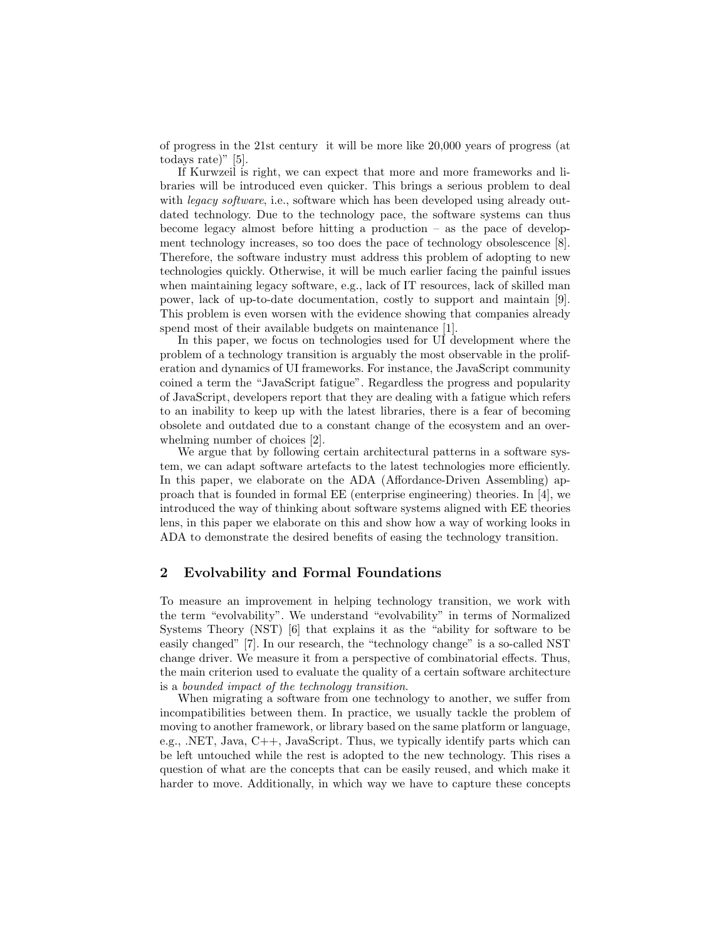of progress in the 21st century it will be more like 20,000 years of progress (at todays rate)" [5].

If Kurwzeil is right, we can expect that more and more frameworks and libraries will be introduced even quicker. This brings a serious problem to deal with *legacy software*, i.e., software which has been developed using already outdated technology. Due to the technology pace, the software systems can thus become legacy almost before hitting a production – as the pace of development technology increases, so too does the pace of technology obsolescence [8]. Therefore, the software industry must address this problem of adopting to new technologies quickly. Otherwise, it will be much earlier facing the painful issues when maintaining legacy software, e.g., lack of IT resources, lack of skilled man power, lack of up-to-date documentation, costly to support and maintain [9]. This problem is even worsen with the evidence showing that companies already spend most of their available budgets on maintenance [1].

In this paper, we focus on technologies used for UI development where the problem of a technology transition is arguably the most observable in the proliferation and dynamics of UI frameworks. For instance, the JavaScript community coined a term the "JavaScript fatigue". Regardless the progress and popularity of JavaScript, developers report that they are dealing with a fatigue which refers to an inability to keep up with the latest libraries, there is a fear of becoming obsolete and outdated due to a constant change of the ecosystem and an overwhelming number of choices [2].

We argue that by following certain architectural patterns in a software system, we can adapt software artefacts to the latest technologies more efficiently. In this paper, we elaborate on the ADA (Affordance-Driven Assembling) approach that is founded in formal EE (enterprise engineering) theories. In [4], we introduced the way of thinking about software systems aligned with EE theories lens, in this paper we elaborate on this and show how a way of working looks in ADA to demonstrate the desired benefits of easing the technology transition.

#### 2 Evolvability and Formal Foundations

To measure an improvement in helping technology transition, we work with the term "evolvability". We understand "evolvability" in terms of Normalized Systems Theory (NST) [6] that explains it as the "ability for software to be easily changed" [7]. In our research, the "technology change" is a so-called NST change driver. We measure it from a perspective of combinatorial effects. Thus, the main criterion used to evaluate the quality of a certain software architecture is a bounded impact of the technology transition.

When migrating a software from one technology to another, we suffer from incompatibilities between them. In practice, we usually tackle the problem of moving to another framework, or library based on the same platform or language, e.g., .NET, Java, C++, JavaScript. Thus, we typically identify parts which can be left untouched while the rest is adopted to the new technology. This rises a question of what are the concepts that can be easily reused, and which make it harder to move. Additionally, in which way we have to capture these concepts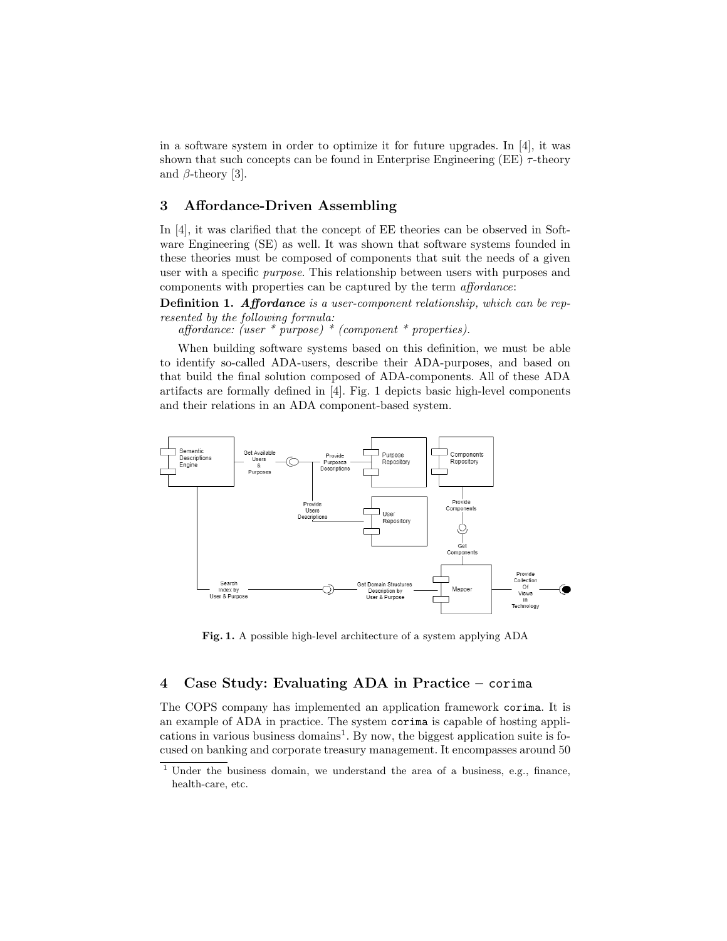in a software system in order to optimize it for future upgrades. In [4], it was shown that such concepts can be found in Enterprise Engineering (EE)  $\tau$ -theory and  $\beta$ -theory [3].

#### 3 Affordance-Driven Assembling

In [4], it was clarified that the concept of EE theories can be observed in Software Engineering (SE) as well. It was shown that software systems founded in these theories must be composed of components that suit the needs of a given user with a specific purpose. This relationship between users with purposes and components with properties can be captured by the term affordance:

Definition 1. Affordance is a user-component relationship, which can be represented by the following formula:

affordance: (user \* purpose) \* (component \* properties).

When building software systems based on this definition, we must be able to identify so-called ADA-users, describe their ADA-purposes, and based on that build the final solution composed of ADA-components. All of these ADA artifacts are formally defined in [4]. Fig. 1 depicts basic high-level components and their relations in an ADA component-based system.



Fig. 1. A possible high-level architecture of a system applying ADA

## 4 Case Study: Evaluating ADA in Practice – corima

The COPS company has implemented an application framework corima. It is an example of ADA in practice. The system corima is capable of hosting applications in various business domains<sup>1</sup>. By now, the biggest application suite is focused on banking and corporate treasury management. It encompasses around 50

<sup>&</sup>lt;sup>1</sup> Under the business domain, we understand the area of a business, e.g., finance, health-care, etc.